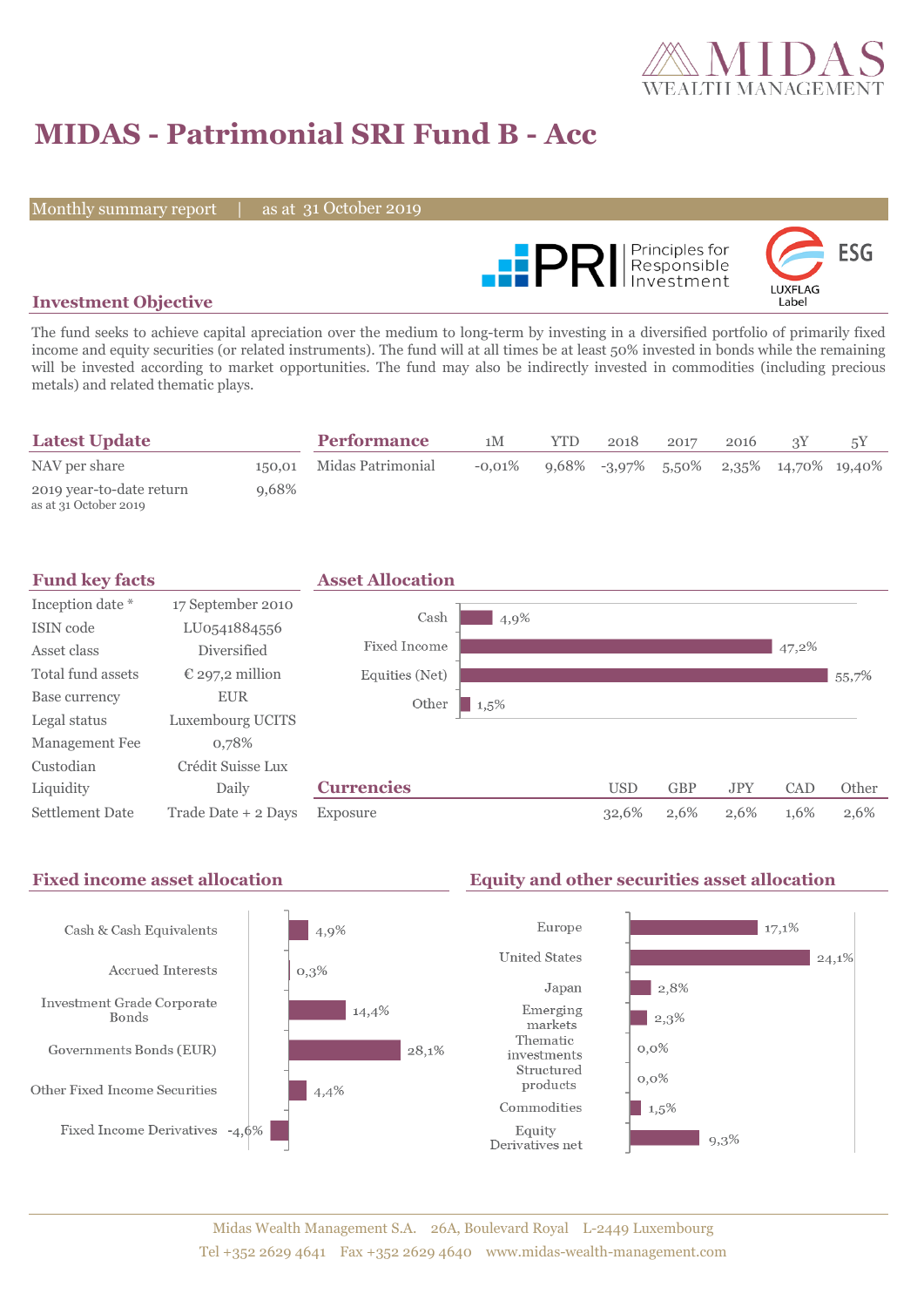

# **MIDAS - Patrimonial SRI Fund B - Acc**

Monthly summary report

31 October 2019



### **Investment Objective**

The fund seeks to achieve capital apreciation over the medium to long-term by investing in a diversified portfolio of primarily fixed income and equity securities (or related instruments). The fund will at all times be at least 50% invested in bonds while the remaining will be invested according to market opportunities. The fund may also be indirectly invested in commodities (including precious metals) and related thematic plays.

| <b>Latest Update</b>                              |          | <b>Performance</b>       | 1M        | <b>YTD</b> | 2018 | 2017 | 2016 |                                           |  |
|---------------------------------------------------|----------|--------------------------|-----------|------------|------|------|------|-------------------------------------------|--|
| NAV per share                                     |          | 150,01 Midas Patrimonial | $-0.01\%$ |            |      |      |      | $9,68\%$ -3,97% 5,50% 2,35% 14,70% 19,40% |  |
| 2019 year-to-date return<br>as at 31 October 2019 | $9.68\%$ |                          |           |            |      |      |      |                                           |  |



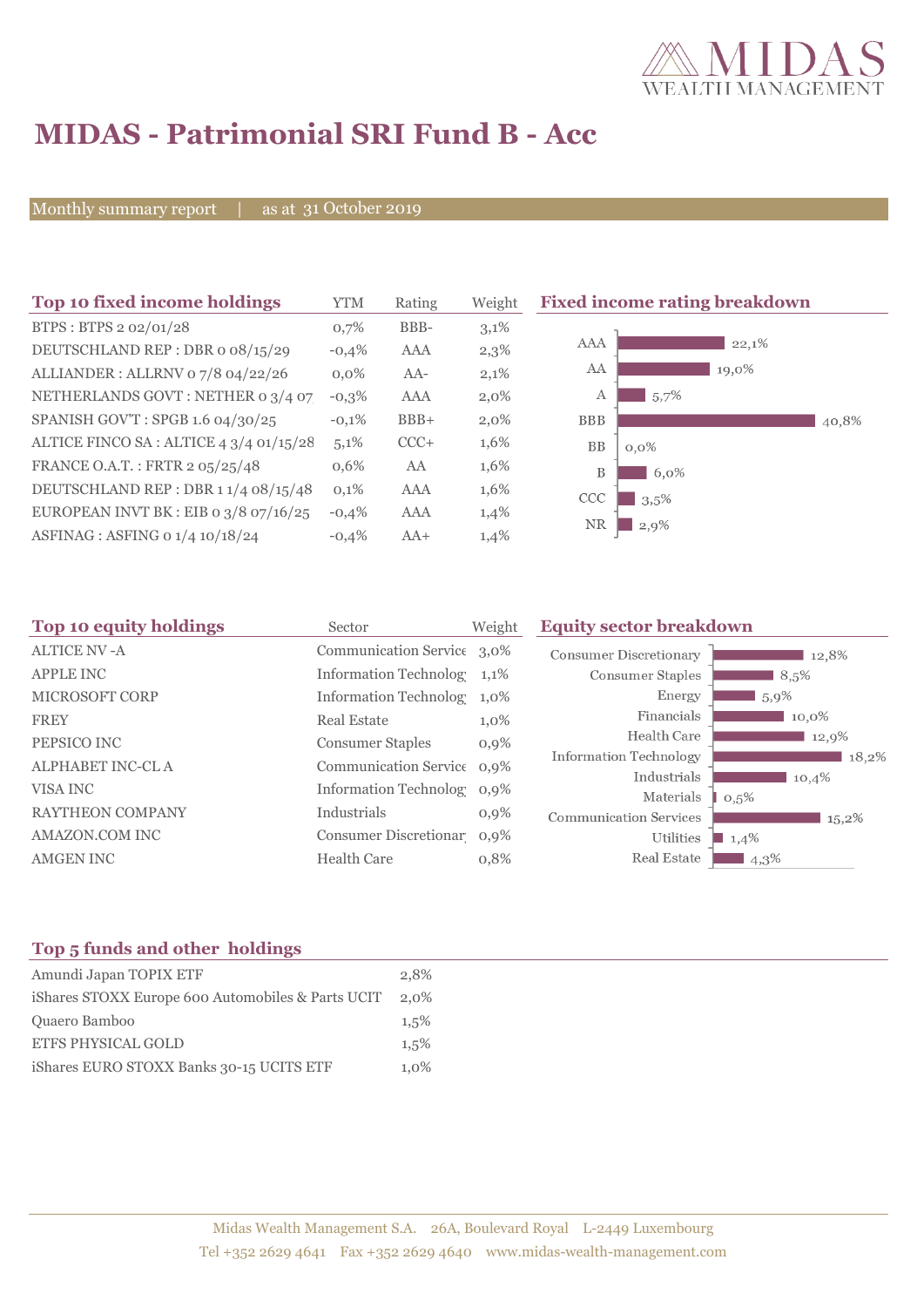

# **MIDAS - Patrimonial SRI Fund B - Acc**

Monthly summary report | as at 31 October 2019

| Top 10 fixed income holdings            | <b>YTM</b> | Rating     | Weight  | <b>Fixed income rating breakdown</b> |
|-----------------------------------------|------------|------------|---------|--------------------------------------|
| BTPS: BTPS 2 02/01/28                   | 0,7%       | BBB-       | 3,1%    |                                      |
| DEUTSCHLAND REP : DBR o 08/15/29        | $-0,4%$    | AAA        | 2,3%    | AAA<br>22,1%                         |
| ALLIANDER: ALLRNV 07/8 04/22/26         | $0.0\%$    | $AA-$      | 2,1%    | AA<br>19,0%                          |
| NETHERLANDS GOVT: NETHER 0 3/4 07       | $-0,3\%$   | <b>AAA</b> | $2,0\%$ | 5,7%<br>A                            |
| SPANISH GOV'T: SPGB 1.6 04/30/25        | $-0.1%$    | $BBB+$     | $2,0\%$ | <b>BBB</b><br>40,8%                  |
| ALTICE FINCO SA : ALTICE 4 3/4 01/15/28 | 5,1%       | $CCC+$     | 1,6%    | BB<br>$0,0\%$                        |
| FRANCE O.A.T.: FRTR 2 05/25/48          | $0.6\%$    | AA         | 1,6%    | B<br>6,0%                            |
| DEUTSCHLAND REP: DBR 1 1/4 08/15/48     | 0,1%       | AAA        | 1,6%    | CCC<br>3.5%                          |
| EUROPEAN INVT BK : EIB o $3/8$ 07/16/25 | $-0,4%$    | AAA        | $1,4\%$ | NR.                                  |
| ASFINAG : ASFING 0 1/4 10/18/24         | $-0.4%$    | $AA+$      | 1,4%    | $2,9\%$                              |

| 12,8%    |
|----------|
| 8,5%     |
| 5,9%     |
| $10,0\%$ |
| 12,9%    |
| 18,2%    |
| 10,4%    |
| $15,2\%$ |
|          |
| 4,3%     |
| 1,4%     |

### **Top 5 funds and other holdings**

| Amundi Japan TOPIX ETF                            | 2.8%    |
|---------------------------------------------------|---------|
| iShares STOXX Europe 600 Automobiles & Parts UCIT | 2,0%    |
| Quaero Bamboo                                     | 1.5%    |
| <b>ETFS PHYSICAL GOLD</b>                         | 1.5%    |
| iShares EURO STOXX Banks 30-15 UCITS ETF          | $1.0\%$ |
|                                                   |         |